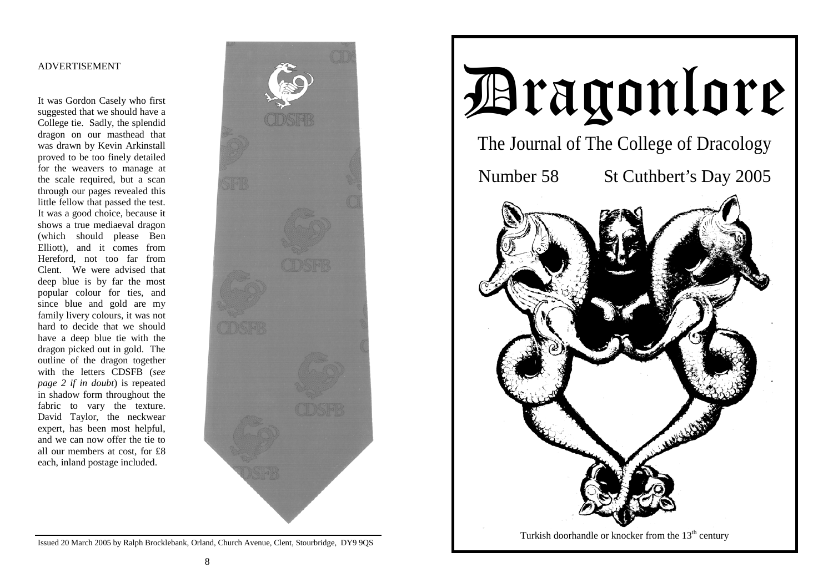#### ADVERTISEMENT

It was Gordon Casely who first suggested that we should have a College tie. Sadly, the splendid dragon on our masthead that was drawn by Kevin Arkinstall proved to be too finely detailed for the weavers to manage at the scale required, but a scan through our pages revealed this little fellow that passed the test. It was a good choice, because it shows a true mediaeval dragon (which should please Ben Elliott), and it comes from Hereford, not too far from Clent. We were advised that deep blue is by far the most popular colour for ties, and since blue and gold are my family livery colours, it was not hard to decide that we should have a deep blue tie with the dragon picked out in gold. The outline of the dragon together with the letters CDSFB (*see page 2 if in doubt*) is repeated in shadow form throughout the fabric to vary the texture. David Taylor, the neckwear expert, has been most helpful, and we can now offer the tie to all our members at cost, for £8 each, inland postage included.



Issued 20 March 2005 by Ralph Brocklebank, Orland, Church Avenue, Clent, Stourbridge, DY9 9QS

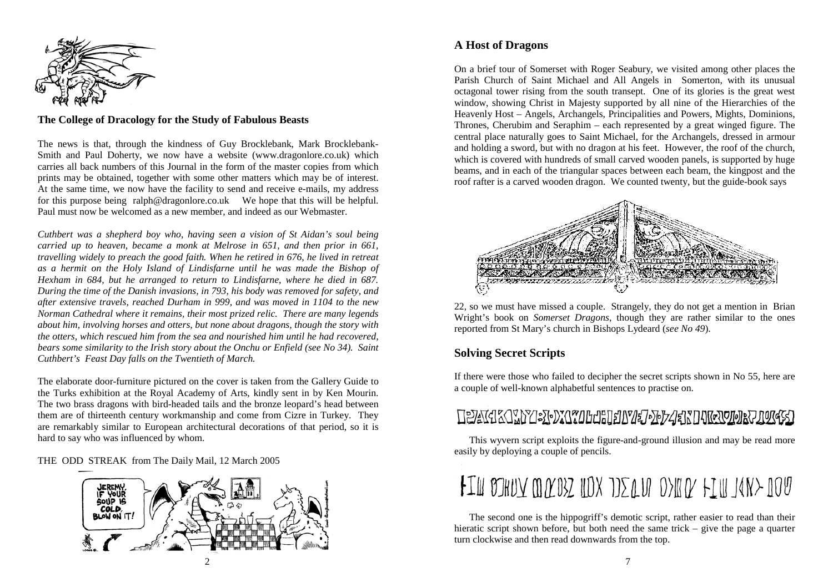

### **The College of Dracology for the Study of Fabulous Beasts**

The news is that, through the kindness of Guy Brocklebank, Mark Brocklebank-Smith and Paul Doherty, we now have a website (www.dragonlore.co.uk) which carries all back numbers of this Journal in the form of the master copies from which prints may be obtained, together with some other matters which may be of interest. At the same time, we now have the facility to send and receive e-mails, my address for this purpose being ralph@dragonlore.co.uk We hope that this will be helpful. Paul must now be welcomed as a new member, and indeed as our Webmaster.

*Cuthbert was a shepherd boy who, having seen a vision of St Aidan's soul being carried up to heaven, became a monk at Melrose in 651, and then prior in 661, travelling widely to preach the good faith. When he retired in 676, he lived in retreat as a hermit on the Holy Island of Lindisfarne until he was made the Bishop of Hexham in 684, but he arranged to return to Lindisfarne, where he died in 687. During the time of the Danish invasions, in 793, his body was removed for safety, and after extensive travels, reached Durham in 999, and was moved in 1104 to the new Norman Cathedral where it remains, their most prized relic. There are many legends about him, involving horses and otters, but none about dragons, though the story with the otters, which rescued him from the sea and nourished him until he had recovered, bears some similarity to the Irish story about the Onchu or Enfield (see No 34). Saint Cuthbert's Feast Day falls on the Twentieth of March.* 

The elaborate door-furniture pictured on the cover is taken from the Gallery Guide to the Turks exhibition at the Royal Academy of Arts, kindly sent in by Ken Mourin. The two brass dragons with bird-headed tails and the bronze leopard's head between them are of thirteenth century workmanship and come from Cizre in Turkey. They are remarkably similar to European architectural decorations of that period, so it is hard to say who was influenced by whom.

THE ODD STREAK from The Daily Mail, 12 March 2005



# **A Host of Dragons**

On a brief tour of Somerset with Roger Seabury, we visited among other places the Parish Church of Saint Michael and All Angels in Somerton, with its unusual octagonal tower rising from the south transept. One of its glories is the great west window, showing Christ in Majesty supported by all nine of the Hierarchies of the Heavenly Host – Angels, Archangels, Principalities and Powers, Mights, Dominions, Thrones, Cherubim and Seraphim – each represented by a great winged figure. The central place naturally goes to Saint Michael, for the Archangels, dressed in armour and holding a sword, but with no dragon at his feet. However, the roof of the church, which is covered with hundreds of small carved wooden panels, is supported by huge beams, and in each of the triangular spaces between each beam, the kingpost and the roof rafter is a carved wooden dragon. We counted twenty, but the guide-book says



22, so we must have missed a couple. Strangely, they do not get a mention in Brian Wright's book on *Somerset Dragons*, though they are rather similar to the ones reported from St Mary's church in Bishops Lydeard (*see No 49*).

## **Solving Secret Scripts**

If there were those who failed to decipher the secret scripts shown in No 55, here are a couple of well-known alphabetful sentences to practise on.

# **TEAKERS TELEVISIONS IN TELEVISION AND TELEVISIONS TRANSPORTED TELEVISION IN TELEVISION IN TELEVISION IN TELEVISION IN TELEVISION IN TELEVISION IN TELEVISION IN TELEVISION IN TELEVISION IN TELEVISION IN TELEVISION IN TELEV**

 This wyvern script exploits the figure-and-ground illusion and may be read more easily by deploying a couple of pencils.

# FIM BIHUY MACOSZ NOX JIZALU OSKAZ FIN JANS NOU

 The second one is the hippogriff's demotic script, rather easier to read than their hieratic script shown before, but both need the same trick – give the page a quarter turn clockwise and then read downwards from the top.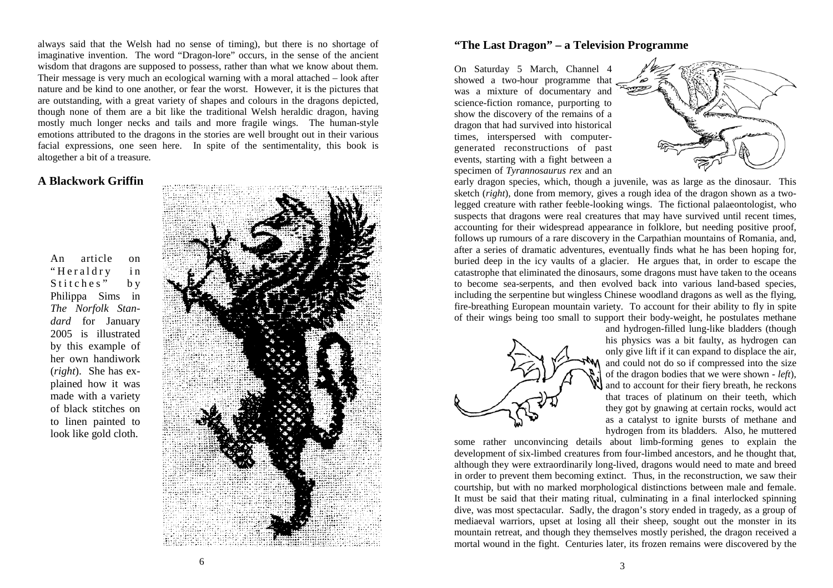always said that the Welsh had no sense of timing), but there is no shortage of imaginative invention. The word "Dragon-lore" occurs, in the sense of the ancient wisdom that dragons are supposed to possess, rather than what we know about them. Their message is very much an ecological warning with a moral attached – look after nature and be kind to one another, or fear the worst. However, it is the pictures that are outstanding, with a great variety of shapes and colours in the dragons depicted, though none of them are a bit like the traditional Welsh heraldic dragon, having mostly much longer necks and tails and more fragile wings. The human-style emotions attributed to the dragons in the stories are well brought out in their various facial expressions, one seen here. In spite of the sentimentality, this book is altogether a bit of a treasure.

### **A Blackwork Griffin**

An article on "Heraldry in Stitches" by Philippa Sims in *The Norfolk Standard* for January 2005 is illustrated by this example of her own handiwork (*right*). She has explained how it was made with a variety of black stitches on to linen painted to look like gold cloth.



### **"The Last Dragon" – a Television Programme**

On Saturday 5 March, Channel 4 showed a two-hour programme that was a mixture of documentary and science-fiction romance, purporting to show the discovery of the remains of a dragon that had survived into historical times, interspersed with computergenerated reconstructions of past events, starting with a fight between a specimen of *Tyrannosaurus rex* and an



early dragon species, which, though a juvenile, was as large as the dinosaur. This sketch (*right*), done from memory, gives a rough idea of the dragon shown as a twolegged creature with rather feeble-looking wings. The fictional palaeontologist, who suspects that dragons were real creatures that may have survived until recent times, accounting for their widespread appearance in folklore, but needing positive proof, follows up rumours of a rare discovery in the Carpathian mountains of Romania, and, after a series of dramatic adventures, eventually finds what he has been hoping for, buried deep in the icy vaults of a glacier. He argues that, in order to escape the catastrophe that eliminated the dinosaurs, some dragons must have taken to the oceans to become sea-serpents, and then evolved back into various land-based species, including the serpentine but wingless Chinese woodland dragons as well as the flying, fire-breathing European mountain variety. To account for their ability to fly in spite of their wings being too small to support their body-weight, he postulates methane



and hydrogen-filled lung-like bladders (though his physics was a bit faulty, as hydrogen can only give lift if it can expand to displace the air, and could not do so if compressed into the size of the dragon bodies that we were shown - *left*), and to account for their fiery breath, he reckons that traces of platinum on their teeth, which they got by gnawing at certain rocks, would act as a catalyst to ignite bursts of methane and hydrogen from its bladders. Also, he muttered

some rather unconvincing details about limb-forming genes to explain the development of six-limbed creatures from four-limbed ancestors, and he thought that, although they were extraordinarily long-lived, dragons would need to mate and breed in order to prevent them becoming extinct. Thus, in the reconstruction, we saw their courtship, but with no marked morphological distinctions between male and female. It must be said that their mating ritual, culminating in a final interlocked spinning dive, was most spectacular. Sadly, the dragon's story ended in tragedy, as a group of mediaeval warriors, upset at losing all their sheep, sought out the monster in its mountain retreat, and though they themselves mostly perished, the dragon received a mortal wound in the fight. Centuries later, its frozen remains were discovered by the